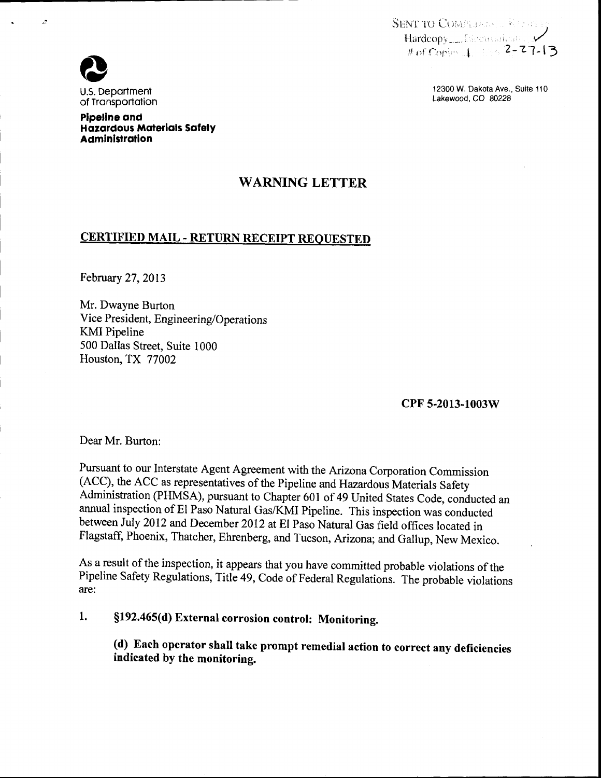

**0**  u.s. Department of Transportation

12300 W. Dakota Ave., Suite 110 Lakewood, CO 80228

**Pipeline and Hazardous Materials Safety Administration** 

## **WARNING LETTER**

#### **CERTIFIED MAIL- RETURN RECEIPT REQUESTED**

February 27, 2013

Mr. Dwayne Burton Vice President, Engineering/Operations KMI Pipeline 500 Dallas Street, Suite 1000 Houston, TX 77002

**CPF 5-2013-1003W** 

Dear Mr. Burton:

Pursuant to our Interstate Agent Agreement with the Arizona Corporation Commission (ACC), the ACC as representatives of the Pipeline and Hazardous Materials Safety Administration (PHMSA), pursuant to Chapter 601 of 49 United States Code, conducted an annual inspection of El Paso Natural Gas/KMI Pipeline. This inspection was conducted between July 2012 and December 2012 at El Paso Natural Gas field offices located in Flagstaff, Phoenix, Thatcher, Ehrenberg, and Tucson, Arizona; and Gallup, New Mexico.

As a result of the inspection, it appears that you have committed probable violations of the Pipeline Safety Regulations, Title 49, Code of Federal Regulations. The probable violations are:

# **1. §192.465(d) External corrosion control: Monitoring.**

**(d) Each operator shall take prompt remedial action to correct any deficiencies indicated by the monitoring.**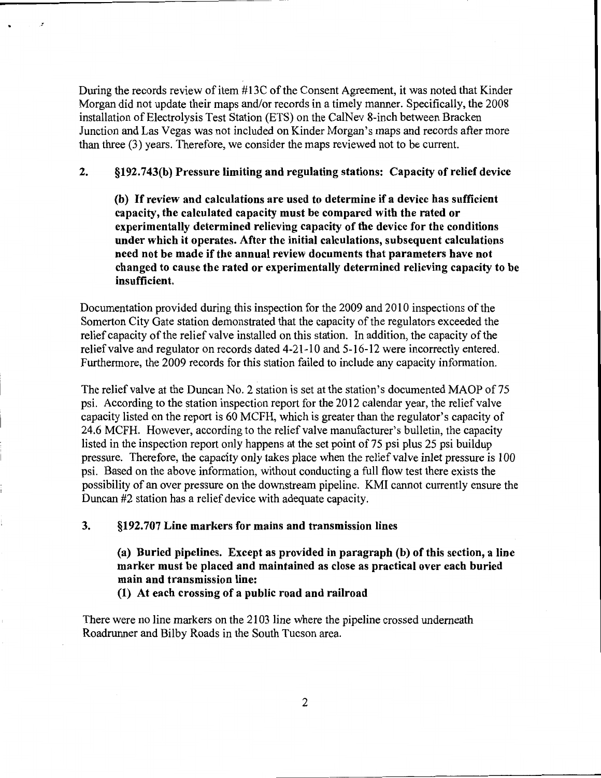During the records review of item #13C of the Consent Agreement, it was noted that Kinder Morgan did not update their maps and/or records in a timely manner. Specifically, the 2008 installation of Electrolysis Test Station (ETS) on the CalNev 8-inch between Bracken Junction and Las Vegas was not included on Kinder Morgan's maps and records after more than three (3) years. Therefore, we consider the maps reviewed not to be current.

### 2. §192. 743(b) Pressure limiting and regulating stations: Capacity of relief device

(b) If review and calculations are used to determine if a device has sufficient capacity, the calculated capacity must be compared with the rated or experimentally determined relieving capacity of the device for the conditions under which it operates. After the initial calculations, subsequent calculations need not be made if the annual review documents that parameters have not changed to cause the rated or experimentally determined relieving capacity to be insufficient.

Documentation provided during this inspection for the 2009 and 2010 inspections of the Somerton City Gate station demonstrated that the capacity of the regulators exceeded the relief capacity of the relief valve installed on this station. In addition, the capacity of the relief valve and regulator on records dated 4-21-10 and 5-16-12 were incorrectly entered. Furthermore, the 2009 records for this station failed to include any capacity information.

The relief valve at the Duncan No. 2 station is set at the station's documented MAOP of 75 psi. According to the station inspection report for the 2012 calendar year, the relief valve capacity listed on the report is 60 MCFH, which is greater than the regulator's capacity of 24.6 MCFH. However, according to the relief valve manufacturer's bulletin, the capacity listed in the inspection report only happens at the set point of 75 psi plus 25 psi buildup pressure. Therefore, the capacity only takes place when the relief valve inlet pressure is I 00 psi. Based on the above information, without conducting a full flow test there exists the possibility of an over pressure on the downstream pipeline. KMI cannot currently ensure the Duncan #2 station has a relief device with adequate capacity.

#### 3. §192. 707 Line markers for mains and transmission lines

(a) Buried pipelines. Except as provided in paragraph (b) of this section, a line marker must be placed and maintained as close as practical over each buried main and transmission line:

(1) At each crossing of a public road and railroad

There were no line markers on the 2103 line where the pipeline crossed underneath Roadrunner and Bilby Roads in the South Tucson area.